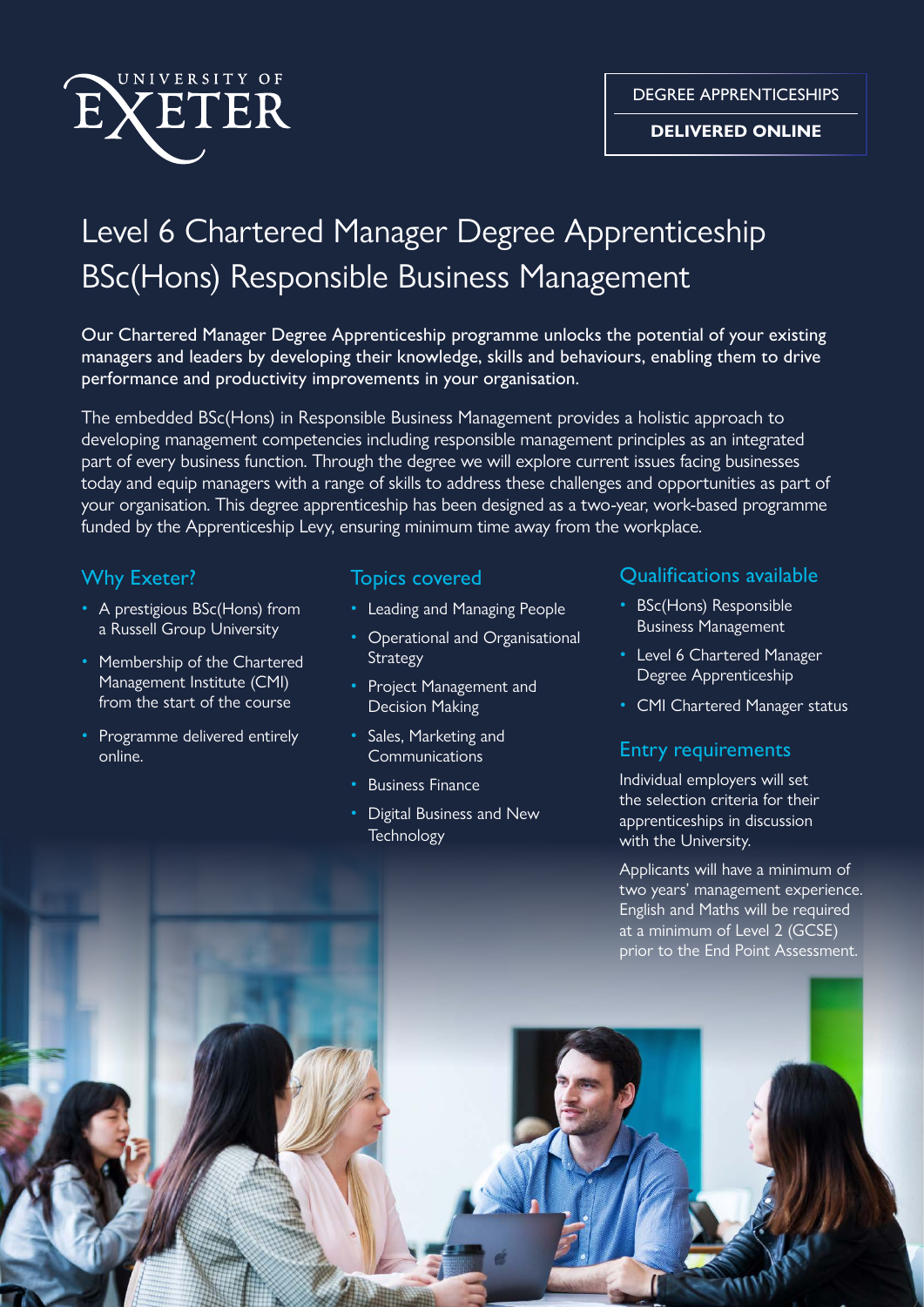

#### **DELIVERED ONLINE**

# Level 6 Chartered Manager Degree Apprenticeship BSc(Hons) Responsible Business Management

Our Chartered Manager Degree Apprenticeship programme unlocks the potential of your existing managers and leaders by developing their knowledge, skills and behaviours, enabling them to drive performance and productivity improvements in your organisation.

The embedded BSc(Hons) in Responsible Business Management provides a holistic approach to developing management competencies including responsible management principles as an integrated part of every business function. Through the degree we will explore current issues facing businesses today and equip managers with a range of skills to address these challenges and opportunities as part of your organisation. This degree apprenticeship has been designed as a two-year, work-based programme funded by the Apprenticeship Levy, ensuring minimum time away from the workplace.

- A prestigious BSc(Hons) from Leading and Managing People BSc(Hons) Responsible
- Membership of the Chartered Management Institute (CMI)
- Programme delivered entirely online.

- 
- a Russell Group University Operational and Organisational **Strategy** 
	- Project Management and
	- Sales, Marketing and
	-
	- Digital Business and New

### Why Exeter? Topics covered Qualifications available

- 
- Level 6 Chartered Manager Degree Apprenticeship
- from the start of the course **Example 2** Decision Making **Fig. 2** CMI Chartered Manager status

## Communications **Entry requirements**

• Business Finance Individual employers will set the selection criteria for their Digital Business and New apprenticeships in discussion<br>Technology with the University.

> Applicants will have a minimum of two years' management experience. English and Maths will be required at a minimum of Level 2 (GCSE) prior to the End Point Assessment.